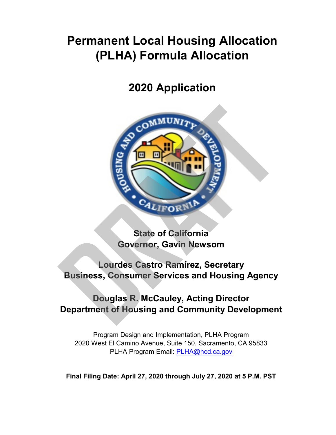# **Permanent Local Housing Allocation (PLHA) Formula Allocation**

## **2020 Application**



**State of California Governor, Gavin Newsom**

**Lourdes Castro Ramírez, Secretary Business, Consumer Services and Housing Agency**

### **Douglas R. McCauley, Acting Director Department of Housing and Community Development**

Program Design and Implementation, PLHA Program 2020 West El Camino Avenue, Suite 150, Sacramento, CA 95833 [PLHA Program Em](mailto:PLHA@hcd.ca.gov)ail: PLHA@hcd.ca.gov

**Final Filing Date: April 27, 2020 through July 27, 2020 at 5 P.M. PST**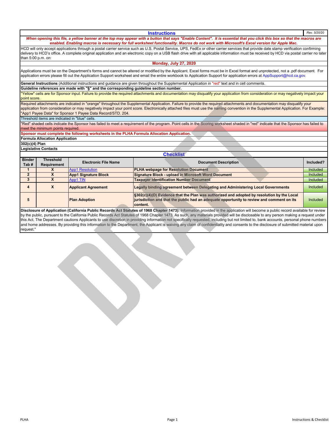| <b>Instructions</b>                                                                                                                                                                        | Rev. 5/20/20 |  |  |  |  |  |  |  |  |  |
|--------------------------------------------------------------------------------------------------------------------------------------------------------------------------------------------|--------------|--|--|--|--|--|--|--|--|--|
| When opening this file, a yellow banner at the top may appear with a button that says "Enable Content". It is essential that you click this box so that the macros are                     |              |  |  |  |  |  |  |  |  |  |
| enabled. Enabling macros is necessary for full worksheet functionality. Macros do not work with Microsoft's Excel version for Apple Mac.                                                   |              |  |  |  |  |  |  |  |  |  |
| HCD will only accept applications through a postal carrier service such as U.S. Postal Service, UPS, FedEx or other carrier services that provide date stamp verification confirming       |              |  |  |  |  |  |  |  |  |  |
| delivery to HCD's office. A complete exiginal englisation and an electronic seny on a LICD floab drive with all englishble information must be resolved by HCD via postal earnier no later |              |  |  |  |  |  |  |  |  |  |

delivery to HCD's office. A complete original application and an electronic copy on a USB flash drive with all applicable information must be received by HCD via postal carrier no later than 5:00 p.m. on:

#### **Monday, July 27, 2020**

Applications must be on the Department's forms and cannot be altered or modified by the Applicant. Excel forms must be in Excel format and unprotected, not a .pdf document. For application errors please fill out the Application Support worksheet and email the entire workbook to Application Support for application errors at AppSupport@hcd.ca.gov.

**General Instructions** (Additional instructions and guidance are given throughout the Supplemental Application in "red" text and in cell comments.

#### **Guideline references are made with "§" and the corresponding guideline section number.**

"Yellow" cells are for Sponsor input. Failure to provide the required attachments and documentation may disqualify your application from consideration or may negatively impact your point score.

Required attachments are indicated in "orange" throughout the Supplemental Application. Failure to provide the required attachments and documentation may disqualify your application from consideration or may negatively impact your point score. Electronically attached files must use the naming convention in the Supplemental Application. For Example: "App1 Payee Data" for Sponsor 1 Payee Data Record/STD. 204.

#### **302(c)(4) Plan**

#### **Legislative Contacts**

|                       |                                                | "App1 Payee Data" for Sponsor 1 Payee Data Record/STD. 204.                                | application from consideration or may negatively impact your point score. Electronically attached files must use the naming convention in the Supplemental Application. For Example:                                                                                                                                                                                            |                 |
|-----------------------|------------------------------------------------|--------------------------------------------------------------------------------------------|---------------------------------------------------------------------------------------------------------------------------------------------------------------------------------------------------------------------------------------------------------------------------------------------------------------------------------------------------------------------------------|-----------------|
|                       | Threshold items are indicated in "blue" cells. |                                                                                            |                                                                                                                                                                                                                                                                                                                                                                                 |                 |
|                       |                                                |                                                                                            | "Red" shaded cells indicate the Sponsor has failed to meet a requirement of the program. Point cells in the Scoring worksheet shaded in "red" indicate that the Sponsor has failed to                                                                                                                                                                                           |                 |
|                       | meet the minimum points required.              |                                                                                            |                                                                                                                                                                                                                                                                                                                                                                                 |                 |
|                       |                                                | Sponsor must complete the following worksheets in the PLHA Formula Allocation Application. |                                                                                                                                                                                                                                                                                                                                                                                 |                 |
|                       | Formula Allocation Application                 |                                                                                            |                                                                                                                                                                                                                                                                                                                                                                                 |                 |
| 302(c)(4) Plan        |                                                |                                                                                            |                                                                                                                                                                                                                                                                                                                                                                                 |                 |
|                       | Legislative Contacts                           |                                                                                            |                                                                                                                                                                                                                                                                                                                                                                                 |                 |
|                       |                                                |                                                                                            | <b>Checklist</b>                                                                                                                                                                                                                                                                                                                                                                |                 |
| <b>Binder</b><br>Tab# | <b>Threshold</b><br>Requirement                | <b>Electronic File Name</b>                                                                | <b>Document Description</b>                                                                                                                                                                                                                                                                                                                                                     | Included?       |
| $\mathbf{1}$          | $\mathsf{x}$                                   | <b>App1 Resolution</b>                                                                     | <b>PLHA webpage for Resolution Document</b>                                                                                                                                                                                                                                                                                                                                     | <b>Included</b> |
| $\overline{2}$        | $\overline{\mathbf{x}}$                        | <b>App1 Signature Block</b>                                                                | Signature Block - upload in Microsoft Word Document                                                                                                                                                                                                                                                                                                                             | Included        |
| $\mathbf{3}$          | $\overline{\mathbf{X}}$                        | <b>App1 TIN</b>                                                                            | <b>Taxpayer Identification Number Document</b>                                                                                                                                                                                                                                                                                                                                  | Included        |
| 4                     | $\mathbf{x}$                                   | <b>Applicant Agreement</b>                                                                 | <b>Legally binding agreement between Delegating and Administering Local Governments</b>                                                                                                                                                                                                                                                                                         | <b>Included</b> |
| 5                     | <b>Plan Adoption</b>                           |                                                                                            | §302(c)(4)(D) Evidence that the Plan was authorized and adopted by resolution by the Local<br>jurisdiction and that the public had an adequate opportunity to review and comment on its<br>content.                                                                                                                                                                             | Included        |
| request."             |                                                |                                                                                            | this Act. The Department cautions Applicants to use discretion in providing information not specifically requested, including but not limited to, bank accounts, personal phone numbers<br>and home addresses. By providing this information to the Department, the Applicant is waiving any claim of confidentiality and consents to the disclosure of submitted material upon |                 |
|                       |                                                |                                                                                            |                                                                                                                                                                                                                                                                                                                                                                                 |                 |
|                       |                                                |                                                                                            |                                                                                                                                                                                                                                                                                                                                                                                 |                 |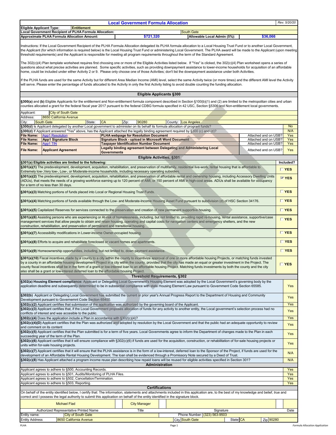| Rev. 5/20/20<br><b>Local Government Formula Allocation</b> |                    |            |                             |          |  |  |  |  |  |  |
|------------------------------------------------------------|--------------------|------------|-----------------------------|----------|--|--|--|--|--|--|
| <b>Eligible Applicant Type:</b>                            | <b>Entitlement</b> |            |                             |          |  |  |  |  |  |  |
| Local Government Recipient of PLHA Formula Allocation:     |                    | South Gate |                             |          |  |  |  |  |  |  |
| Approximate PLHA Formula Allocation Amount:                |                    | \$721.320  | Allowable Local Admin (5%): | \$36.066 |  |  |  |  |  |  |

Instructions: If the Local Government Recipient of the PLHA Formula Allocation delegated its PLHA formula allocation to a Local Housing Trust Fund or to another Local Government, the Applicant (for which information is required below) is the Local Housing Trust Fund or administering Local Government. The PLHA award will be made to the Applicant (upon meeting threshold requirements) and the Applicant is responsible for meeting all program requirements throughout the term of the Standard Agreement.

The 302(c)(4) Plan template worksheet requires first choosing one or more of the Eligible Activities listed below. If "Yes" is clicked, the 302(c)(4) Plan worksheet opens a series of questions about what precise activities are planned. Some specific activities, such as providing downpayment assistance to lower-income households for acquisition of an affordable<br>home, could be included under either Acti

If the PLHA funds are used for the same Activity but for different Area Median Income (AMI) level, select the same Activity twice (or more times) and the different AMI level the Activity will serve. Please enter the percentage of funds allocated to the Activity in only the first Activity listing to avoid double counting the funding allocation.

### **Eligible Applicants §300**

§300(a) and (b) Eligible Applicants for the entitlement and Non-entitlement formula component described in Section §100(b)(1) and (2) are limited to the metropolitan cities and urban counties allocated a grant for the federal fiscal year 2017 pursuant to the federal CDBG formula specified in 42 USC, Section §5306 and Non-entitlement local governments.

|                                                                                                                                                                                                                                                                                                                                                                                          | counties allocated a grant for the federal fiscal year 2017 pursuant to the federal CDBG formula specified in 42 USC, Section §5306 and Non-entitlement local governments.                                                                                                                                                                                                                                                                                                                                                                                                                                                    |                    |                                                                                                    |  |                                                                      |          |                                              |  |              |  |  |
|------------------------------------------------------------------------------------------------------------------------------------------------------------------------------------------------------------------------------------------------------------------------------------------------------------------------------------------------------------------------------------------|-------------------------------------------------------------------------------------------------------------------------------------------------------------------------------------------------------------------------------------------------------------------------------------------------------------------------------------------------------------------------------------------------------------------------------------------------------------------------------------------------------------------------------------------------------------------------------------------------------------------------------|--------------------|----------------------------------------------------------------------------------------------------|--|----------------------------------------------------------------------|----------|----------------------------------------------|--|--------------|--|--|
| Applicant:                                                                                                                                                                                                                                                                                                                                                                               | <b>City of South Gate</b>                                                                                                                                                                                                                                                                                                                                                                                                                                                                                                                                                                                                     |                    |                                                                                                    |  |                                                                      |          |                                              |  |              |  |  |
| Address:                                                                                                                                                                                                                                                                                                                                                                                 | 8650 California Avenue                                                                                                                                                                                                                                                                                                                                                                                                                                                                                                                                                                                                        |                    |                                                                                                    |  |                                                                      |          |                                              |  |              |  |  |
| City:                                                                                                                                                                                                                                                                                                                                                                                    | <b>South Gate</b><br>State:                                                                                                                                                                                                                                                                                                                                                                                                                                                                                                                                                                                                   | <b>CA</b>          | 90280<br>Zip:                                                                                      |  | County: <b>Los Angeles</b>                                           |          |                                              |  |              |  |  |
|                                                                                                                                                                                                                                                                                                                                                                                          | §300(d) is Applicant delegated by another Local government to administer on its behalf its formula allocation of program funds?                                                                                                                                                                                                                                                                                                                                                                                                                                                                                               |                    |                                                                                                    |  |                                                                      |          |                                              |  | <b>No</b>    |  |  |
|                                                                                                                                                                                                                                                                                                                                                                                          | §300(d) If Applicant answered "Yes" above, has the Applicant attached the legally binding agreement required by §300 (c) and (d)?                                                                                                                                                                                                                                                                                                                                                                                                                                                                                             |                    |                                                                                                    |  |                                                                      |          |                                              |  | N/A          |  |  |
| File Name:<br>File Name:                                                                                                                                                                                                                                                                                                                                                                 | <b>App1 Resolution</b><br><b>App1 Signature Block</b>                                                                                                                                                                                                                                                                                                                                                                                                                                                                                                                                                                         |                    | <b>PLHA webpage for Resolution Document</b><br>Signature Block - upload in Microsoft Word Document |  |                                                                      |          | Attached and on USB?<br>Attached and on USB? |  | Yes<br>Yes   |  |  |
| <b>File Name:</b>                                                                                                                                                                                                                                                                                                                                                                        | App1 TIN                                                                                                                                                                                                                                                                                                                                                                                                                                                                                                                                                                                                                      |                    | <b>Taxpayer Identification Number Document</b>                                                     |  |                                                                      |          | Attached and on USB?                         |  | Yes          |  |  |
| <b>File Name:</b>                                                                                                                                                                                                                                                                                                                                                                        | <b>Applicant Agreement</b>                                                                                                                                                                                                                                                                                                                                                                                                                                                                                                                                                                                                    | <b>Governments</b> |                                                                                                    |  | Legally binding agreement between Delegating and Administering Local |          | Attached and on USB?                         |  | Yes          |  |  |
|                                                                                                                                                                                                                                                                                                                                                                                          |                                                                                                                                                                                                                                                                                                                                                                                                                                                                                                                                                                                                                               |                    | <b>Eligible Activities, §301</b>                                                                   |  |                                                                      |          |                                              |  |              |  |  |
|                                                                                                                                                                                                                                                                                                                                                                                          | §301(a) Eligible activities are limited to the following:                                                                                                                                                                                                                                                                                                                                                                                                                                                                                                                                                                     |                    |                                                                                                    |  |                                                                      |          |                                              |  | Included?    |  |  |
|                                                                                                                                                                                                                                                                                                                                                                                          | §301(a)(1) The predevelopment, development, acquisition, rehabilitation, and preservation of multifamily, residential live-work, rental housing that is affordable to<br>Extremely low-, Very low-, Low-, or Moderate-income households, including necessary operating subsidies.                                                                                                                                                                                                                                                                                                                                             |                    |                                                                                                    |  |                                                                      |          |                                              |  | <b>E</b> YES |  |  |
| §301(a)(2) The predevelopment, development, acquisition, rehabilitation, and preservation of affordable rental and ownership housing, including Accessory Dwelling Units<br>(ADUs), that meets the needs of a growing workforce earning up to 120 percent of AMI, or 150 percent of AMI in high-cost areas. ADUs shall be available for occupancy<br>for a term of no less than 30 days. |                                                                                                                                                                                                                                                                                                                                                                                                                                                                                                                                                                                                                               |                    |                                                                                                    |  |                                                                      |          |                                              |  |              |  |  |
| <b>§301(a)(3)</b> Matching portions of funds placed into Local or Regional Housing Trust Funds.                                                                                                                                                                                                                                                                                          |                                                                                                                                                                                                                                                                                                                                                                                                                                                                                                                                                                                                                               |                    |                                                                                                    |  |                                                                      |          |                                              |  |              |  |  |
| §301(a)(4) Matching portions of funds available through the Low- and Moderate-Income Housing Asset Fund pursuant to subdivision (d) of HSC Section 34176.                                                                                                                                                                                                                                |                                                                                                                                                                                                                                                                                                                                                                                                                                                                                                                                                                                                                               |                    |                                                                                                    |  |                                                                      |          |                                              |  |              |  |  |
|                                                                                                                                                                                                                                                                                                                                                                                          | §301(a)(5) Capitalized Reserves for services connected to the preservation and creation of new permanent supportive housing.                                                                                                                                                                                                                                                                                                                                                                                                                                                                                                  |                    |                                                                                                    |  |                                                                      |          |                                              |  | $\Gamma$ YES |  |  |
|                                                                                                                                                                                                                                                                                                                                                                                          | §301(a)(6) Assisting persons who are experiencing or At-risk of homelessness, including, but not limited to, providing rapid re-housing, rental assistance, supportive/case<br>management services that allow people to obtain and retain housing, operating and capital costs for navigation centers and emergency shelters, and the new<br>construction, rehabilitation, and preservation of permanent and transitional housing.                                                                                                                                                                                            |                    |                                                                                                    |  |                                                                      |          |                                              |  | <b>TYES</b>  |  |  |
|                                                                                                                                                                                                                                                                                                                                                                                          | <b>§301(a)(7)</b> Accessibility modifications in Lower-income Owner-occupied housing.                                                                                                                                                                                                                                                                                                                                                                                                                                                                                                                                         |                    |                                                                                                    |  |                                                                      |          |                                              |  | <b>TYES</b>  |  |  |
|                                                                                                                                                                                                                                                                                                                                                                                          | §301(a)(8) Efforts to acquire and rehabilitate foreclosed or vacant homes and apartments.                                                                                                                                                                                                                                                                                                                                                                                                                                                                                                                                     |                    |                                                                                                    |  |                                                                      |          |                                              |  | $\Gamma$ YES |  |  |
|                                                                                                                                                                                                                                                                                                                                                                                          | §301(a)(9) Homeownership opportunities, including, but not limited to, down payment assistance.                                                                                                                                                                                                                                                                                                                                                                                                                                                                                                                               |                    |                                                                                                    |  |                                                                      |          |                                              |  | <b>TYES</b>  |  |  |
|                                                                                                                                                                                                                                                                                                                                                                                          | §301(a)(10) Fiscal incentives made by a county to a city within the county to incentivize approval of one or more affordable housing Projects, or matching funds invested<br>by a county in an affordable housing development Project in a city within the county, provided that the city has made an equal or greater investment in the Project. The<br>county fiscal incentives shall be in the form of a grant or low-interest loan to an affordable housing Project. Matching funds investments by both the county and the city<br>also shall be a grant or low-interest deferred loan to the affordable housing Project. |                    |                                                                                                    |  |                                                                      |          |                                              |  | $\Box$ YES   |  |  |
|                                                                                                                                                                                                                                                                                                                                                                                          |                                                                                                                                                                                                                                                                                                                                                                                                                                                                                                                                                                                                                               |                    | <b>Threshold Requirements, §302</b>                                                                |  |                                                                      |          |                                              |  |              |  |  |
|                                                                                                                                                                                                                                                                                                                                                                                          | §302(a) Housing Element compliance: Applicant or Delegating Local Government's Housing Element was adopted by the Local Government's governing body by the<br>application deadline and subsequently determined to be in substantial compliance with state Housing Element Law pursuant to Government Code Section 65585.                                                                                                                                                                                                                                                                                                      |                    |                                                                                                    |  |                                                                      |          |                                              |  | Yes          |  |  |
|                                                                                                                                                                                                                                                                                                                                                                                          | §302(b) Applicant or Delegating Local Government has submitted the current or prior year's Annual Progress Report to the Department of Housing and Community<br>Development pursuant to Governemnt Code Section 65400.                                                                                                                                                                                                                                                                                                                                                                                                        |                    |                                                                                                    |  |                                                                      |          |                                              |  | Yes          |  |  |
|                                                                                                                                                                                                                                                                                                                                                                                          | §302(c)(2) Applicant certifies that submission of the application was authorized by the governing board of the Applicant.                                                                                                                                                                                                                                                                                                                                                                                                                                                                                                     |                    |                                                                                                    |  |                                                                      |          |                                              |  | Yes          |  |  |
|                                                                                                                                                                                                                                                                                                                                                                                          | §302(c)(3) Applicant certifies that, if the Local Government proposes allocation of funds for any activity to another entity, the Local government's selection process had no<br>conflicts of interest and was accesible to the public.                                                                                                                                                                                                                                                                                                                                                                                       |                    |                                                                                                    |  |                                                                      |          |                                              |  | Yes          |  |  |
|                                                                                                                                                                                                                                                                                                                                                                                          | §302(c)(4) Does the application include a Plan in accordance with §302(c)(4)?                                                                                                                                                                                                                                                                                                                                                                                                                                                                                                                                                 |                    |                                                                                                    |  |                                                                      |          |                                              |  | Yes          |  |  |
|                                                                                                                                                                                                                                                                                                                                                                                          | §302(c)(4)(D) Applicant certifies that the Plan was authorized and adopted by resolution by the Local Government and that the public had an adequate opportunity to review<br>and comment on its content                                                                                                                                                                                                                                                                                                                                                                                                                      |                    |                                                                                                    |  |                                                                      |          |                                              |  | Yes          |  |  |
|                                                                                                                                                                                                                                                                                                                                                                                          | §302(c)(5) Applicant certifies that the Plan submitted is for a term of five years. Local Governments agree to inform the Department of changes made to the Plan in each<br>succeeding year of the term of the Plan.                                                                                                                                                                                                                                                                                                                                                                                                          |                    |                                                                                                    |  |                                                                      |          |                                              |  | Yes          |  |  |
|                                                                                                                                                                                                                                                                                                                                                                                          | §302(c)(6) Applicant certifies that it will ensure compliance with §302(c)(6) if funds are used for the acquisition, construction, or rehabilitation of for-sale housing projects or<br>units within for-sale housing projects.                                                                                                                                                                                                                                                                                                                                                                                               |                    |                                                                                                    |  |                                                                      |          |                                              |  | Yes          |  |  |
|                                                                                                                                                                                                                                                                                                                                                                                          | §302(c)(7) Applicant certifies that it will ensure that the PLHA assistance is in the form of a low-interest, deferred loan to the Sponsor of the Project, if funds are used for the<br>development of an Affordable Rental Housing Development. The loan shall be evidenced through a Promissory Note secured by a Deed of Trust.                                                                                                                                                                                                                                                                                            |                    |                                                                                                    |  |                                                                      |          |                                              |  | N/A          |  |  |
|                                                                                                                                                                                                                                                                                                                                                                                          | §302(c)(8) Has Applicant attached a program income reuse plan describing how repaid loans will be reused for eligible activities specified in Section 301?                                                                                                                                                                                                                                                                                                                                                                                                                                                                    |                    | Administration                                                                                     |  |                                                                      |          |                                              |  | N/A          |  |  |
|                                                                                                                                                                                                                                                                                                                                                                                          | Applicant agrees to adhere to §500, Accounting Records                                                                                                                                                                                                                                                                                                                                                                                                                                                                                                                                                                        |                    |                                                                                                    |  |                                                                      |          |                                              |  | Yes          |  |  |
|                                                                                                                                                                                                                                                                                                                                                                                          | Applicant agrees to adhere to §501, Audits/Monitoring of PLHA Files.                                                                                                                                                                                                                                                                                                                                                                                                                                                                                                                                                          |                    |                                                                                                    |  |                                                                      |          |                                              |  | Yes          |  |  |
|                                                                                                                                                                                                                                                                                                                                                                                          | Applicant agrees to adhere to §502, Cancellation/Termination.                                                                                                                                                                                                                                                                                                                                                                                                                                                                                                                                                                 |                    |                                                                                                    |  |                                                                      |          |                                              |  | Yes          |  |  |
|                                                                                                                                                                                                                                                                                                                                                                                          | Applicant agrees to adhere to §503, Reporting.                                                                                                                                                                                                                                                                                                                                                                                                                                                                                                                                                                                |                    |                                                                                                    |  |                                                                      |          |                                              |  | Yes          |  |  |
|                                                                                                                                                                                                                                                                                                                                                                                          |                                                                                                                                                                                                                                                                                                                                                                                                                                                                                                                                                                                                                               |                    | <b>Certifications</b>                                                                              |  |                                                                      |          |                                              |  |              |  |  |
|                                                                                                                                                                                                                                                                                                                                                                                          | On behalf of the entity identified below, I certify that: The information, statements and attachments included in this application are, to the best of my knowledge and belief, true and<br>correct and I possess the legal authority to submit this application on behalf of the entity identified in the signature block.                                                                                                                                                                                                                                                                                                   |                    |                                                                                                    |  |                                                                      |          |                                              |  |              |  |  |
|                                                                                                                                                                                                                                                                                                                                                                                          | <b>Michael Flad</b>                                                                                                                                                                                                                                                                                                                                                                                                                                                                                                                                                                                                           |                    | <b>City Manager</b>                                                                                |  |                                                                      |          |                                              |  |              |  |  |
|                                                                                                                                                                                                                                                                                                                                                                                          | Authorized Representative Printed Name                                                                                                                                                                                                                                                                                                                                                                                                                                                                                                                                                                                        |                    | Title                                                                                              |  | Signature                                                            |          |                                              |  | Date         |  |  |
| Entity name:                                                                                                                                                                                                                                                                                                                                                                             | <b>City of South Gate</b>                                                                                                                                                                                                                                                                                                                                                                                                                                                                                                                                                                                                     |                    |                                                                                                    |  | Phone Number: (323) 563-9503                                         |          |                                              |  |              |  |  |
| <b>Entity Address</b>                                                                                                                                                                                                                                                                                                                                                                    | 8650 California Avenue                                                                                                                                                                                                                                                                                                                                                                                                                                                                                                                                                                                                        |                    |                                                                                                    |  | <b>City South Gate</b>                                               | State CA | Zip 90280                                    |  |              |  |  |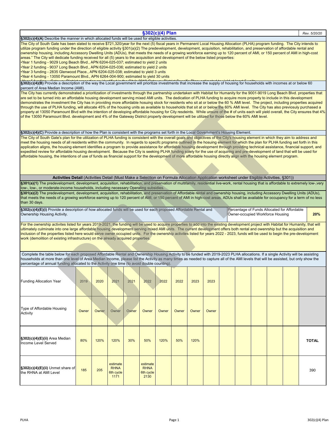|                                                                                                                                                                                                                                                                                                                                                                                                                                                                                                                                                                                                                                                                                                                                                                                                                                                                                                                                                                                                                                                                                                                                                                                                                                                         |                                                                                                                                                                                          |       |                                              |       |                                              | §302(c)(4) Plan |       |       |       |  |                                                                                  |  |  |  | Rev. 5/20/20 |
|---------------------------------------------------------------------------------------------------------------------------------------------------------------------------------------------------------------------------------------------------------------------------------------------------------------------------------------------------------------------------------------------------------------------------------------------------------------------------------------------------------------------------------------------------------------------------------------------------------------------------------------------------------------------------------------------------------------------------------------------------------------------------------------------------------------------------------------------------------------------------------------------------------------------------------------------------------------------------------------------------------------------------------------------------------------------------------------------------------------------------------------------------------------------------------------------------------------------------------------------------------|------------------------------------------------------------------------------------------------------------------------------------------------------------------------------------------|-------|----------------------------------------------|-------|----------------------------------------------|-----------------|-------|-------|-------|--|----------------------------------------------------------------------------------|--|--|--|--------------|
| §302(c)(4)(A) Describe the manner in which allocated funds will be used for eligible activities.                                                                                                                                                                                                                                                                                                                                                                                                                                                                                                                                                                                                                                                                                                                                                                                                                                                                                                                                                                                                                                                                                                                                                        |                                                                                                                                                                                          |       |                                              |       |                                              |                 |       |       |       |  |                                                                                  |  |  |  |              |
| The City of South Gate has been slated to receive \$721,320/year for the next (5) fiscal years in Permanent Local Housing Allocation (PLHA) program funding. The City intends to<br>utilize program funding under the direction of eligible activity §301(a)(2) The predevelopment, development, acquisition, rehabilitation, and preservation of affordable rental and<br>ownership housing, including Accessory Dwelling Units (ADUs), that meets the needs of a growing workforce earning up to 120 percent of AMI, or 150 percent of AMI in high-cost<br>areas." The City will dedicate funding received for all (5) years to the acquisition and development of the below listed properties:<br>•Year 1 funding - 9029 Long Beach Blvd., APN 6204-025-037; estimated to yield 2 units<br>•Year 2 funding - 9037 Long Beach Blvd., APN 6204-025-036; estimated to yield 2 units<br>•Year 3 funding - 2835 Glenwood Place., APN 6204-025-038; estimated to yield 3 units<br>•Year 4 funding - 13050 Paramount Blvd., APN 6264-004-900; estimated to yield 30 units<br>§302(c)(4)(B) Provide a description of the way the Local government will prioritize investments that increase the supply of housing for households with incomes at or below 60 |                                                                                                                                                                                          |       |                                              |       |                                              |                 |       |       |       |  |                                                                                  |  |  |  |              |
| percent of Area Median Income (AMI).                                                                                                                                                                                                                                                                                                                                                                                                                                                                                                                                                                                                                                                                                                                                                                                                                                                                                                                                                                                                                                                                                                                                                                                                                    |                                                                                                                                                                                          |       |                                              |       |                                              |                 |       |       |       |  |                                                                                  |  |  |  |              |
| The City has currently demonstrated a prioritization of investments through the partnership undertaken with Habitat for Humanity for the 9001-9019 Long Beach Blvd. properties that<br>are set to be turned into an affordable housing development serving mixed AMI units. The dedication of PLHA funding to acquire more property to include in this development<br>demonstrates the investment the City has in providing more affordable hosuing stock for residents who sit at or below the 60 % AMI level. The project, including properties acquired<br>through the use of PLHA funding, will allocate 45% of the housing units as available to households that sit at or below the 60% AMI level. The City has also previosuly purchased a<br>property at 13050 Paramount Blvd with the intention of developing affordable housing for City resdeints. While unsure of the # of units each will yield overall, the City ensures that 4%<br>of the 13050 Paramount Blvd. development and 4% of the Gateway District property development will be utilized for those below the 60% AMI level.                                                                                                                                                      |                                                                                                                                                                                          |       |                                              |       |                                              |                 |       |       |       |  |                                                                                  |  |  |  |              |
| §302(c)(4)(C) Provide a description of how the Plan is consistent with the programs set forth in the Local Government's Housing Element.                                                                                                                                                                                                                                                                                                                                                                                                                                                                                                                                                                                                                                                                                                                                                                                                                                                                                                                                                                                                                                                                                                                |                                                                                                                                                                                          |       |                                              |       |                                              |                 |       |       |       |  |                                                                                  |  |  |  |              |
| The City of South Gate's plan for the utilization of PLHA funding is consistent with the overall goals and objectives of the City's housing element in which they aim to address and<br>meet the housing needs of all residents within the community. In regards to specifc programs outlined in the hosuing element for which the plan for PLHA funding set forth in this<br>application aligns, the housing element identifies a program to provide assistance for affordable housing development through providing technical assistance, financial support, and<br>expedited review for affordable housing development. Because the City is seeking PLHA funding solely for the use of acquiring and pre-development of land that will be used for<br>affordable housing, the intentions of use of funds as financial support for the development of more affordable housing directly align with the housing element program.                                                                                                                                                                                                                                                                                                                        |                                                                                                                                                                                          |       |                                              |       |                                              |                 |       |       |       |  |                                                                                  |  |  |  |              |
|                                                                                                                                                                                                                                                                                                                                                                                                                                                                                                                                                                                                                                                                                                                                                                                                                                                                                                                                                                                                                                                                                                                                                                                                                                                         | Activities Detail (Activities Detail (Must Make a Selection on Formula Allocation Application worksheet under Eligible Activities, §301))                                                |       |                                              |       |                                              |                 |       |       |       |  |                                                                                  |  |  |  |              |
|                                                                                                                                                                                                                                                                                                                                                                                                                                                                                                                                                                                                                                                                                                                                                                                                                                                                                                                                                                                                                                                                                                                                                                                                                                                         | §301(a)(1) The predevelopment, development, acquisition, rehabilitation, and preservation of multifamily, residential live-work, rental housing that is affordable to extremely low-very |       |                                              |       |                                              |                 |       |       |       |  |                                                                                  |  |  |  |              |
| low-, low-, or moderate-income households, including necessary Operating subsidies.<br>§301(a)(2) The predevelopment, development, acquisition, rehabilitation, and preservation of Affordable rental and ownership housing, including Accessory Dwelling Units (ADUs),<br>that meets the needs of a growing workforce earning up to 120 percent of AMI, or 150 percent of AMI in high-cost areas. ADUs shall be available for occupancy for a term of no less<br>than 30 days.                                                                                                                                                                                                                                                                                                                                                                                                                                                                                                                                                                                                                                                                                                                                                                         |                                                                                                                                                                                          |       |                                              |       |                                              |                 |       |       |       |  |                                                                                  |  |  |  |              |
| §302(c)(4)(E)(i) Provide a description of how allocated funds will be used for each proposed Affordable Rental and<br>Ownership Housing Activity.                                                                                                                                                                                                                                                                                                                                                                                                                                                                                                                                                                                                                                                                                                                                                                                                                                                                                                                                                                                                                                                                                                       |                                                                                                                                                                                          |       |                                              |       |                                              |                 |       |       |       |  | Percentage of Funds Allocated for Affordable<br>Owner-occupied Workforce Housing |  |  |  | 20%          |
| For the ownership activites listed for years 2019-2021, the funding will be used to acquire properties to add into the existing development project with Habitat for Humanity, that will<br>ultimately culminate into one large affordable housing development serving mixed AMI units. The current development offers both rental and owenrship but the acquisition and<br>inclusion of the properties listed here would serve owner occupied units. For the ownership activites listed for years 2022 - 2023, funds will be used to begin the pre-development<br>work (demolition of existing infrastructure) on the already acquired properties.                                                                                                                                                                                                                                                                                                                                                                                                                                                                                                                                                                                                     |                                                                                                                                                                                          |       |                                              |       |                                              |                 |       |       |       |  |                                                                                  |  |  |  |              |
| Complete the table below for each proposed Affordable Rental and Ownership Housing Activity to be funded with 2019-2023 PLHA allocations. If a single Activity will be assisting<br>households at more than one level of Area Median Income, please list the Activity as many times as needed to capture all of the AMI levels that will be assisted, but only show the<br>percentage of annual funding allocated to the Activity one time (to avoid double counting).                                                                                                                                                                                                                                                                                                                                                                                                                                                                                                                                                                                                                                                                                                                                                                                  |                                                                                                                                                                                          |       |                                              |       |                                              |                 |       |       |       |  |                                                                                  |  |  |  |              |
| <b>Funding Allocation Year</b>                                                                                                                                                                                                                                                                                                                                                                                                                                                                                                                                                                                                                                                                                                                                                                                                                                                                                                                                                                                                                                                                                                                                                                                                                          | 2019                                                                                                                                                                                     | 2020  | 2021                                         | 2021  | 2022                                         | 2022            | 2022  | 2023  | 2023  |  |                                                                                  |  |  |  |              |
| Type of Affordable Housing<br>Activity                                                                                                                                                                                                                                                                                                                                                                                                                                                                                                                                                                                                                                                                                                                                                                                                                                                                                                                                                                                                                                                                                                                                                                                                                  | Owner                                                                                                                                                                                    | Owner | Owner                                        | Owner | Owner                                        | Owner           | Owner | Owner | Owner |  |                                                                                  |  |  |  |              |
| §302(c)(4)(E)(ii) Area Median<br>Income Level Served                                                                                                                                                                                                                                                                                                                                                                                                                                                                                                                                                                                                                                                                                                                                                                                                                                                                                                                                                                                                                                                                                                                                                                                                    | 80%                                                                                                                                                                                      | 120%  | 120%                                         | 30%   | 50%                                          | 120%            | 50%   | 120%  |       |  |                                                                                  |  |  |  | <b>TOTAL</b> |
| §302(c)(4)(E)(ii) Unmet share of<br>the RHNA at AMI Level                                                                                                                                                                                                                                                                                                                                                                                                                                                                                                                                                                                                                                                                                                                                                                                                                                                                                                                                                                                                                                                                                                                                                                                               | 185                                                                                                                                                                                      | 205   | estimate<br><b>RHNA</b><br>6th cycle<br>1171 |       | estimate<br><b>RHNA</b><br>6th cycle<br>2130 |                 |       |       |       |  |                                                                                  |  |  |  | 390          |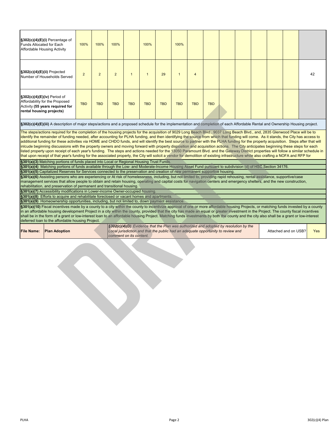| $\S302(c)(4)(E)(i)$ Percentage of<br>Funds Allocated for Each<br>Affordable Housing Activity                                                                                                                                                                                                                                                                                                                                                                                                                                                                                                                                                                                                                                                                                                                                                                                                                                                                                                                                                                                                                                                                                                                                                                                                                                                                                                                                                                                                                                                                                                                                                                                                                                                                                                                                                                                                                                                                                                                                                                                                                                                                                                                                                                                                                                                                                                                                                                                                                                                                                                                                                     | 100%           | 100%           | 100%           |                         | 100%         |                                                                                                                                                                          | 100%           |                |            |  |  |  |  |                      |            |
|--------------------------------------------------------------------------------------------------------------------------------------------------------------------------------------------------------------------------------------------------------------------------------------------------------------------------------------------------------------------------------------------------------------------------------------------------------------------------------------------------------------------------------------------------------------------------------------------------------------------------------------------------------------------------------------------------------------------------------------------------------------------------------------------------------------------------------------------------------------------------------------------------------------------------------------------------------------------------------------------------------------------------------------------------------------------------------------------------------------------------------------------------------------------------------------------------------------------------------------------------------------------------------------------------------------------------------------------------------------------------------------------------------------------------------------------------------------------------------------------------------------------------------------------------------------------------------------------------------------------------------------------------------------------------------------------------------------------------------------------------------------------------------------------------------------------------------------------------------------------------------------------------------------------------------------------------------------------------------------------------------------------------------------------------------------------------------------------------------------------------------------------------------------------------------------------------------------------------------------------------------------------------------------------------------------------------------------------------------------------------------------------------------------------------------------------------------------------------------------------------------------------------------------------------------------------------------------------------------------------------------------------------|----------------|----------------|----------------|-------------------------|--------------|--------------------------------------------------------------------------------------------------------------------------------------------------------------------------|----------------|----------------|------------|--|--|--|--|----------------------|------------|
| §302(c)(4)(E)(ii) Projected<br>Number of Households Served                                                                                                                                                                                                                                                                                                                                                                                                                                                                                                                                                                                                                                                                                                                                                                                                                                                                                                                                                                                                                                                                                                                                                                                                                                                                                                                                                                                                                                                                                                                                                                                                                                                                                                                                                                                                                                                                                                                                                                                                                                                                                                                                                                                                                                                                                                                                                                                                                                                                                                                                                                                       | $\overline{2}$ | $\overline{2}$ | $\overline{2}$ | $\overline{1}$          | $\mathbf{1}$ | 29                                                                                                                                                                       | $\overline{1}$ | $\overline{4}$ |            |  |  |  |  |                      | 42         |
| §302(c)(4)(E)(iv) Period of<br>Affordability for the Proposed<br>Activity (55 years required for<br>rental housing projects)                                                                                                                                                                                                                                                                                                                                                                                                                                                                                                                                                                                                                                                                                                                                                                                                                                                                                                                                                                                                                                                                                                                                                                                                                                                                                                                                                                                                                                                                                                                                                                                                                                                                                                                                                                                                                                                                                                                                                                                                                                                                                                                                                                                                                                                                                                                                                                                                                                                                                                                     | <b>TBD</b>     | <b>TBD</b>     | <b>TBD</b>     | <b>TBD</b>              | <b>TBD</b>   | <b>TBD</b>                                                                                                                                                               | <b>TBD</b>     | <b>TBD</b>     | <b>TBD</b> |  |  |  |  |                      |            |
| §302(c)(4)(E)(iii) A description of major steps/actions and a proposed schedule for the implementation and completion of each Affordable Rental and Ownership Housing project.                                                                                                                                                                                                                                                                                                                                                                                                                                                                                                                                                                                                                                                                                                                                                                                                                                                                                                                                                                                                                                                                                                                                                                                                                                                                                                                                                                                                                                                                                                                                                                                                                                                                                                                                                                                                                                                                                                                                                                                                                                                                                                                                                                                                                                                                                                                                                                                                                                                                   |                |                |                |                         |              |                                                                                                                                                                          |                |                |            |  |  |  |  |                      |            |
| The steps/actions required for the completion of the housing projects for the acquisition of 9029 Long Beach Blvd., 9037 Long Beach Blvd., and, 2835 Glenwood Place will be to<br>identify the remainder of funding needed, after accounting for PLHA funding, and then identifying the source from which that funding will come. As it stands, the City has access to<br>additional funding for these activities via HOME and CHDO funds, and will idenitfy the best source to partner with the PLHA funding for the property acquisition. Steps after that will<br>inicude beginning discussions with the property owners and moving forward with property disposition and acquisition actions. The City anticipates beginning these steps for each<br>listed property upon receipt of each year's funding. The steps and actions needed for the 13050 Paramount Blvd. and the Gateway District properties will follow a similar schedule in<br>that upon receipt of that year's funding for the associated property, the City will solicit a vendor for demolition of existing infrastructure while also crafting a NOFA and RFP for<br>§301(a)(3) Matching portions of funds placed into Local or Regional Housing Trust Funds.<br>§301(a)(4) Matching portions of funds available through the Low- and Moderate-Income Housing Asset Fund pursuant to subdivision (d) of HSC Section 34176.<br>§301(a)(5) Capitalized Reserves for Services connected to the preservation and creation of new permanent supportive housing.<br>§301(a)(6) Assisting persons who are experiencing or At risk of homelessness, including, but not limited to, providing rapid rehousing, rental assistance, supportive/case<br>management services that allow people to obtain and retain housing, operating and capital costs for navigation centers and emergency shelters, and the new construction,<br>rehabilitation, and preservation of permanent and transitional housing.<br>§301(a)(7) Accessibility modifications in Lower-income Owner-occupied housing.<br><b>§301(a)(8)</b> Efforts to acquire and rehabilitate foreclosed or vacant homes and apartments.<br>§301(a)(9) Homeownership opportunities, including, but not limited to, down payment assistance.<br>§301(a)(10) Fiscal incentives made by a county to a city within the county to incentivize approval of one or more affordable housing Projects, or matching funds invested by a county<br>in an affordable housing development Project in a city within the county, provided that the city has made an equal or greater investment in the Project. The county fiscal incentives |                |                |                |                         |              |                                                                                                                                                                          |                |                |            |  |  |  |  |                      |            |
| shall be in the form of a grant or low-interest loan to an affordable housing Project. Matching funds investments by both the county and the city also shall be a grant or low-interest<br>deferred loan to the affordable housing Project.                                                                                                                                                                                                                                                                                                                                                                                                                                                                                                                                                                                                                                                                                                                                                                                                                                                                                                                                                                                                                                                                                                                                                                                                                                                                                                                                                                                                                                                                                                                                                                                                                                                                                                                                                                                                                                                                                                                                                                                                                                                                                                                                                                                                                                                                                                                                                                                                      |                |                |                |                         |              |                                                                                                                                                                          |                |                |            |  |  |  |  |                      |            |
| <b>File Name:</b><br><b>Plan Adoption</b>                                                                                                                                                                                                                                                                                                                                                                                                                                                                                                                                                                                                                                                                                                                                                                                                                                                                                                                                                                                                                                                                                                                                                                                                                                                                                                                                                                                                                                                                                                                                                                                                                                                                                                                                                                                                                                                                                                                                                                                                                                                                                                                                                                                                                                                                                                                                                                                                                                                                                                                                                                                                        |                |                |                | comment on its content. |              | §302(c)(4)(D) Evidence that the Plan was authorized and adopted by resolution by the<br>Local jurisdiction and that the public had an adequate opportunity to review and |                |                |            |  |  |  |  | Attached and on USB? | <b>Yes</b> |
|                                                                                                                                                                                                                                                                                                                                                                                                                                                                                                                                                                                                                                                                                                                                                                                                                                                                                                                                                                                                                                                                                                                                                                                                                                                                                                                                                                                                                                                                                                                                                                                                                                                                                                                                                                                                                                                                                                                                                                                                                                                                                                                                                                                                                                                                                                                                                                                                                                                                                                                                                                                                                                                  |                |                |                |                         |              |                                                                                                                                                                          |                |                |            |  |  |  |  |                      |            |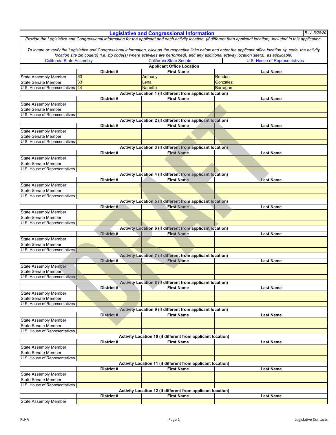|                                                             |            | <b>Legislative and Congressional Information</b>                                 | Rev. 5/20/20                                                                                                                                                              |
|-------------------------------------------------------------|------------|----------------------------------------------------------------------------------|---------------------------------------------------------------------------------------------------------------------------------------------------------------------------|
|                                                             |            |                                                                                  | Provide the Legislative and Congressional information for the applicant and each activity location, (if different than applicant location), included in this application. |
|                                                             |            |                                                                                  |                                                                                                                                                                           |
|                                                             |            |                                                                                  | To locate or verify the Legislative and Congressional information, click on the respective links below and enter the applicant office location zip code, the activity     |
|                                                             |            |                                                                                  | location site zip code(s) (i.e. zip code(s) where activities are performed), and any additional activity location site(s), as applicable.                                 |
| <b>California State Assembly</b>                            |            | <b>California State Senate</b><br><b>Applicant Office Location</b>               | <b>U.S. House of Representatives</b>                                                                                                                                      |
|                                                             | District # | <b>First Name</b>                                                                | <b>Last Name</b>                                                                                                                                                          |
| <b>State Assembly Member</b>                                | 63         | Anthony                                                                          | Rendon                                                                                                                                                                    |
| State Senate Member                                         | 33         | Lena                                                                             | Gonzalez                                                                                                                                                                  |
| U.S. House of Representatives                               | 44         | <b>Nanette</b>                                                                   | <b>Barragan</b>                                                                                                                                                           |
|                                                             |            | Activity Location 1 (if different from applicant location)                       |                                                                                                                                                                           |
|                                                             | District # | <b>First Name</b>                                                                | <b>Last Name</b>                                                                                                                                                          |
| <b>State Assembly Member</b>                                |            |                                                                                  |                                                                                                                                                                           |
| <b>State Senate Member</b><br>U.S. House of Representatives |            |                                                                                  |                                                                                                                                                                           |
|                                                             |            | Activity Location 2 (if different from applicant location)                       |                                                                                                                                                                           |
|                                                             | District#  | <b>First Name</b>                                                                | <b>Last Name</b>                                                                                                                                                          |
| <b>State Assembly Member</b>                                |            |                                                                                  |                                                                                                                                                                           |
| <b>State Senate Member</b>                                  |            |                                                                                  |                                                                                                                                                                           |
| U.S. House of Representatives                               |            |                                                                                  |                                                                                                                                                                           |
|                                                             |            | Activity Location 3 (if different from applicant location)                       |                                                                                                                                                                           |
|                                                             | District#  | <b>First Name</b>                                                                | <b>Last Name</b>                                                                                                                                                          |
| <b>State Assembly Member</b>                                |            |                                                                                  |                                                                                                                                                                           |
| <b>State Senate Member</b>                                  |            |                                                                                  |                                                                                                                                                                           |
| U.S. House of Representatives                               |            |                                                                                  |                                                                                                                                                                           |
|                                                             | District#  | Activity Location 4 (if different from applicant location)<br><b>First Name</b>  | <b>Last Name</b>                                                                                                                                                          |
| <b>State Assembly Member</b>                                |            |                                                                                  |                                                                                                                                                                           |
| <b>State Senate Member</b>                                  |            |                                                                                  |                                                                                                                                                                           |
| U.S. House of Representatives                               |            |                                                                                  |                                                                                                                                                                           |
|                                                             |            | Activity Location 5 (if different from applicant location)                       |                                                                                                                                                                           |
|                                                             | District # | <b>First Name</b>                                                                | <b>Last Name</b>                                                                                                                                                          |
| <b>State Assembly Member</b>                                |            |                                                                                  |                                                                                                                                                                           |
| <b>State Senate Member</b>                                  |            |                                                                                  |                                                                                                                                                                           |
| U.S. House of Representatives                               |            |                                                                                  |                                                                                                                                                                           |
|                                                             |            | <b>Activity Location 6 (if different from applicant location)</b>                |                                                                                                                                                                           |
| <b>State Assembly Member</b>                                | District # | <b>First Name</b>                                                                | <b>Last Name</b>                                                                                                                                                          |
| <b>State Senate Member</b>                                  |            |                                                                                  |                                                                                                                                                                           |
| U.S. House of Representatives                               |            |                                                                                  |                                                                                                                                                                           |
|                                                             |            | Activity Location 7 (if different from applicant location)                       |                                                                                                                                                                           |
|                                                             | District # | <b>First Name</b>                                                                | <b>Last Name</b>                                                                                                                                                          |
| <b>State Assembly Member</b>                                |            |                                                                                  |                                                                                                                                                                           |
| <b>State Senate Member</b>                                  |            |                                                                                  |                                                                                                                                                                           |
| U.S. House of Representatives                               |            |                                                                                  |                                                                                                                                                                           |
|                                                             |            | Activity Location 8 (if different from applicant location)                       |                                                                                                                                                                           |
|                                                             | District#  | <b>First Name</b>                                                                | <b>Last Name</b>                                                                                                                                                          |
| <b>State Assembly Member</b><br><b>State Senate Member</b>  |            |                                                                                  |                                                                                                                                                                           |
| U.S. House of Representatives                               |            |                                                                                  |                                                                                                                                                                           |
|                                                             |            | Activity Location 9 (if different from applicant location)                       |                                                                                                                                                                           |
|                                                             | District # | <b>First Name</b>                                                                | <b>Last Name</b>                                                                                                                                                          |
| <b>State Assembly Member</b>                                |            |                                                                                  |                                                                                                                                                                           |
| <b>State Senate Member</b>                                  |            |                                                                                  |                                                                                                                                                                           |
| U.S. House of Representatives                               |            |                                                                                  |                                                                                                                                                                           |
|                                                             |            | Activity Location 10 (if different from applicant location)                      |                                                                                                                                                                           |
|                                                             | District#  | <b>First Name</b>                                                                | <b>Last Name</b>                                                                                                                                                          |
| <b>State Assembly Member</b>                                |            |                                                                                  |                                                                                                                                                                           |
| <b>State Senate Member</b>                                  |            |                                                                                  |                                                                                                                                                                           |
| U.S. House of Representatives                               |            |                                                                                  |                                                                                                                                                                           |
|                                                             | District#  | Activity Location 11 (if different from applicant location)<br><b>First Name</b> | <b>Last Name</b>                                                                                                                                                          |
| State Assembly Member                                       |            |                                                                                  |                                                                                                                                                                           |
| State Senate Member                                         |            |                                                                                  |                                                                                                                                                                           |
| U.S. House of Representatives                               |            |                                                                                  |                                                                                                                                                                           |
|                                                             |            | Activity Location 12 (if different from applicant location)                      |                                                                                                                                                                           |
|                                                             | District # | <b>First Name</b>                                                                | <b>Last Name</b>                                                                                                                                                          |
| <b>State Assembly Member</b>                                |            |                                                                                  |                                                                                                                                                                           |
|                                                             |            |                                                                                  |                                                                                                                                                                           |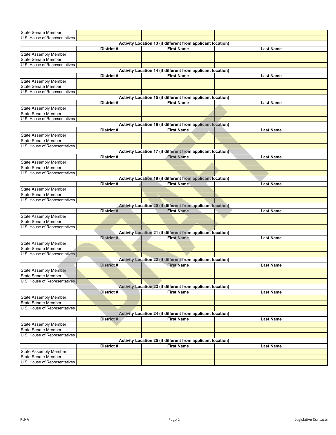| <b>State Senate Member</b>                           |            |                                                                    |                  |
|------------------------------------------------------|------------|--------------------------------------------------------------------|------------------|
| U.S. House of Representatives                        |            |                                                                    |                  |
|                                                      |            | Activity Location 13 (if different from applicant location)        |                  |
|                                                      | District # | <b>First Name</b>                                                  | <b>Last Name</b> |
| State Assembly Member                                |            |                                                                    |                  |
| <b>State Senate Member</b>                           |            |                                                                    |                  |
| U.S. House of Representatives                        |            |                                                                    |                  |
|                                                      |            | Activity Location 14 (if different from applicant location)        |                  |
|                                                      | District # | <b>First Name</b>                                                  | <b>Last Name</b> |
| <b>State Assembly Member</b>                         |            |                                                                    |                  |
| <b>State Senate Member</b>                           |            |                                                                    |                  |
| U.S. House of Representatives                        |            |                                                                    |                  |
|                                                      |            | Activity Location 15 (if different from applicant location)        |                  |
|                                                      | District # | <b>First Name</b>                                                  | <b>Last Name</b> |
| State Assembly Member                                |            |                                                                    |                  |
| <b>State Senate Member</b>                           |            |                                                                    |                  |
| U.S. House of Representatives                        |            |                                                                    |                  |
|                                                      |            | Activity Location 16 (if different from applicant location)        |                  |
|                                                      | District # | <b>First Name</b>                                                  | <b>Last Name</b> |
| <b>State Assembly Member</b>                         |            |                                                                    |                  |
| State Senate Member                                  |            |                                                                    |                  |
| U.S. House of Representatives                        |            |                                                                    |                  |
|                                                      |            | Activity Location 17 (if different from applicant location)        |                  |
|                                                      | District#  | <b>First Name</b>                                                  | <b>Last Name</b> |
| <b>State Assembly Member</b>                         |            |                                                                    |                  |
| <b>State Senate Member</b>                           |            |                                                                    |                  |
| U.S. House of Representatives                        |            |                                                                    |                  |
|                                                      |            | Activity Location 18 (if different from applicant location)        |                  |
|                                                      | District # | <b>First Name</b>                                                  | <b>Last Name</b> |
| State Assembly Member                                |            |                                                                    |                  |
| State Senate Member                                  |            |                                                                    |                  |
| U.S. House of Representatives                        |            |                                                                    |                  |
|                                                      |            | Activity Location 20 (if different from applicant location)        |                  |
|                                                      | District # | <b>First Name</b>                                                  | <b>Last Name</b> |
| <b>State Assembly Member</b>                         |            |                                                                    |                  |
| State Senate Member<br>U.S. House of Representatives |            |                                                                    |                  |
|                                                      |            | Activity Location 21 (if different from applicant location)        |                  |
|                                                      | District # | <b>First Name</b>                                                  | <b>Last Name</b> |
| <b>State Assembly Member</b>                         |            |                                                                    |                  |
| <b>State Senate Member</b>                           |            |                                                                    |                  |
| U.S. House of Representatives                        |            |                                                                    |                  |
|                                                      |            | <b>Activity Location 22 (if different from applicant location)</b> |                  |
|                                                      | District # | <b>First Name</b>                                                  | <b>Last Name</b> |
| <b>State Assembly Member</b>                         |            |                                                                    |                  |
| <b>State Senate Member</b>                           |            |                                                                    |                  |
| U.S. House of Representatives                        |            |                                                                    |                  |
|                                                      |            | Activity Location 23 (if different from applicant location)        |                  |
|                                                      | District # | <b>First Name</b>                                                  | Last Name        |
| <b>State Assembly Member</b>                         |            |                                                                    |                  |
| <b>State Senate Member</b>                           |            |                                                                    |                  |
| U.S. House of Representatives                        |            |                                                                    |                  |
|                                                      |            | Activity Location 24 (if different from applicant location)        |                  |
|                                                      | District # | <b>First Name</b>                                                  | <b>Last Name</b> |
| <b>State Assembly Member</b>                         |            |                                                                    |                  |
| <b>State Senate Member</b>                           |            |                                                                    |                  |
| U.S. House of Representatives                        |            |                                                                    |                  |
|                                                      |            | Activity Location 25 (if different from applicant location)        |                  |
|                                                      | District # | <b>First Name</b>                                                  | <b>Last Name</b> |
| <b>State Assembly Member</b>                         |            |                                                                    |                  |
| <b>State Senate Member</b>                           |            |                                                                    |                  |
| U.S. House of Representatives                        |            |                                                                    |                  |
|                                                      |            |                                                                    |                  |